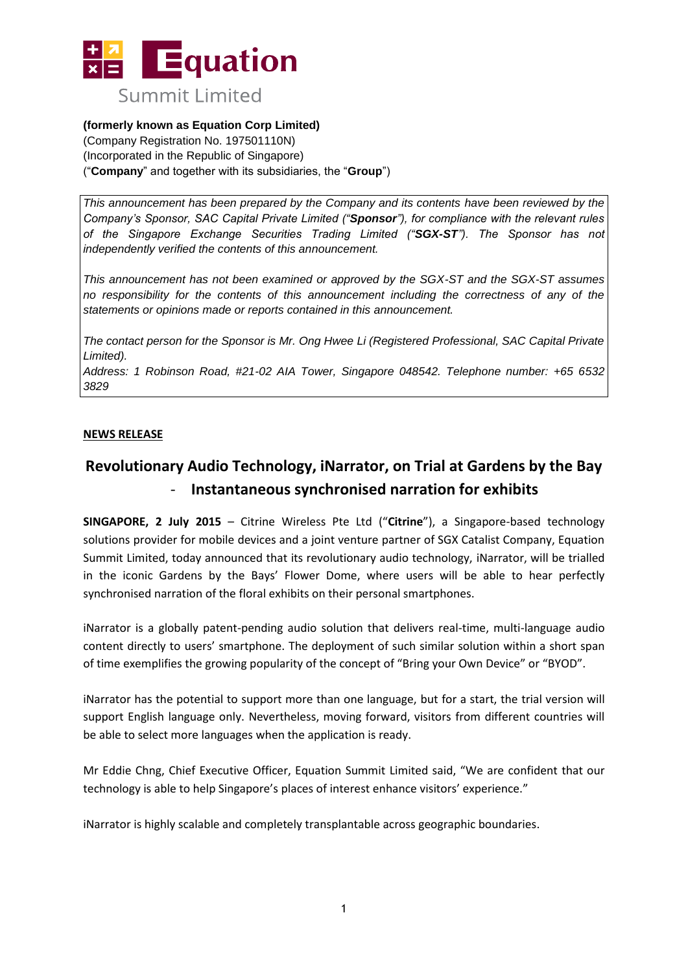

## **(formerly known as Equation Corp Limited)**

(Company Registration No. 197501110N) (Incorporated in the Republic of Singapore) ("**Company**" and together with its subsidiaries, the "**Group**")

*This announcement has been prepared by the Company and its contents have been reviewed by the Company's Sponsor, SAC Capital Private Limited ("Sponsor"), for compliance with the relevant rules of the Singapore Exchange Securities Trading Limited ("SGX-ST"). The Sponsor has not independently verified the contents of this announcement.* 

*This announcement has not been examined or approved by the SGX-ST and the SGX-ST assumes no responsibility for the contents of this announcement including the correctness of any of the statements or opinions made or reports contained in this announcement.* 

*The contact person for the Sponsor is Mr. Ong Hwee Li (Registered Professional, SAC Capital Private Limited).*

*Address: 1 Robinson Road, #21-02 AIA Tower, Singapore 048542. Telephone number: +65 6532 3829*

### **NEWS RELEASE**

# **Revolutionary Audio Technology, iNarrator, on Trial at Gardens by the Bay** - **Instantaneous synchronised narration for exhibits**

**SINGAPORE, 2 July 2015** – Citrine Wireless Pte Ltd ("**Citrine**"), a Singapore-based technology solutions provider for mobile devices and a joint venture partner of SGX Catalist Company, Equation Summit Limited, today announced that its revolutionary audio technology, iNarrator, will be trialled in the iconic Gardens by the Bays' Flower Dome, where users will be able to hear perfectly synchronised narration of the floral exhibits on their personal smartphones.

iNarrator is a globally patent-pending audio solution that delivers real-time, multi-language audio content directly to users' smartphone. The deployment of such similar solution within a short span of time exemplifies the growing popularity of the concept of "Bring your Own Device" or "BYOD".

iNarrator has the potential to support more than one language, but for a start, the trial version will support English language only. Nevertheless, moving forward, visitors from different countries will be able to select more languages when the application is ready.

Mr Eddie Chng, Chief Executive Officer, Equation Summit Limited said, "We are confident that our technology is able to help Singapore's places of interest enhance visitors' experience."

iNarrator is highly scalable and completely transplantable across geographic boundaries.